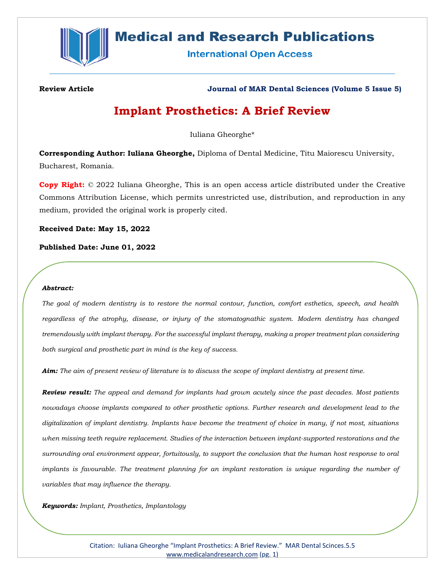

# **Medical and Research Publications**

**International Open Access** 

**Review Article Journal of MAR Dental Sciences (Volume 5 Issue 5)**

## **Implant Prosthetics: A Brief Review**

Iuliana Gheorghe\*

**Corresponding Author: Iuliana Gheorghe,** Diploma of Dental Medicine, Titu Maiorescu University, Bucharest, Romania.

**Copy Right:** © 2022 Iuliana Gheorghe, This is an open access article distributed under the Creative Commons Attribution License, which permits unrestricted use, distribution, and reproduction in any medium, provided the original work is properly cited.

**Received Date: May 15, 2022**

**Published Date: June 01, 2022**

#### *Abstract:*

*The goal of modern dentistry is to restore the normal contour, function, comfort esthetics, speech, and health regardless of the atrophy, disease, or injury of the stomatognathic system. Modern dentistry has changed tremendously with implant therapy. For the successful implant therapy, making a proper treatment plan considering both surgical and prosthetic part in mind is the key of success.*

*Aim: The aim of present review of literature is to discuss the scope of implant dentistry at present time.*

*Review result: The appeal and demand for implants had grown acutely since the past decades. Most patients nowadays choose implants compared to other prosthetic options. Further research and development lead to the digitalization of implant dentistry. Implants have become the treatment of choice in many, if not most, situations when missing teeth require replacement. Studies of the interaction between implant-supported restorations and the surrounding oral environment appear, fortuitously, to support the conclusion that the human host response to oral implants is favourable. The treatment planning for an implant restoration is unique regarding the number of variables that may influence the therapy.* 

*Keywords: Implant, Prosthetics, Implantology*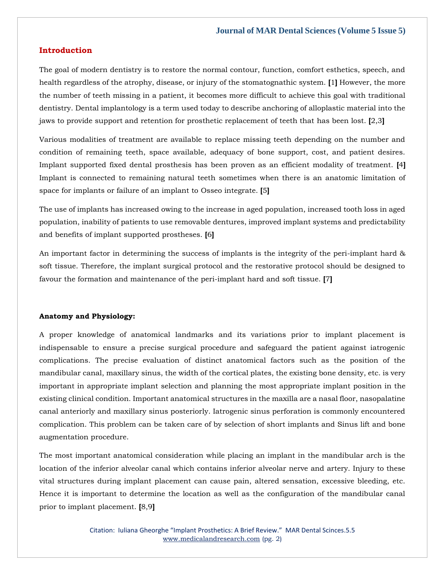#### **Introduction**

The goal of modern dentistry is to restore the normal contour, function, comfort esthetics, speech, and health regardless of the atrophy, disease, or injury of the stomatognathic system. **[**1**]** However, the more the number of teeth missing in a patient, it becomes more difficult to achieve this goal with traditional dentistry. Dental implantology is a term used today to describe anchoring of alloplastic material into the jaws to provide support and retention for prosthetic replacement of teeth that has been lost. **[**2,3**]**

Various modalities of treatment are available to replace missing teeth depending on the number and condition of remaining teeth, space available, adequacy of bone support, cost, and patient desires. Implant supported fixed dental prosthesis has been proven as an efficient modality of treatment. **[**4**]** Implant is connected to remaining natural teeth sometimes when there is an anatomic limitation of space for implants or failure of an implant to Osseo integrate. **[**5**]**

The use of implants has increased owing to the increase in aged population, increased tooth loss in aged population, inability of patients to use removable dentures, improved implant systems and predictability and benefits of implant supported prostheses. **[**6**]**

An important factor in determining the success of implants is the integrity of the peri-implant hard & soft tissue. Therefore, the implant surgical protocol and the restorative protocol should be designed to favour the formation and maintenance of the peri-implant hard and soft tissue. **[**7**]**

#### **Anatomy and Physiology:**

A proper knowledge of anatomical landmarks and its variations prior to implant placement is indispensable to ensure a precise surgical procedure and safeguard the patient against iatrogenic complications. The precise evaluation of distinct anatomical factors such as the position of the mandibular canal, maxillary sinus, the width of the cortical plates, the existing bone density, etc. is very important in appropriate implant selection and planning the most appropriate implant position in the existing clinical condition. Important anatomical structures in the maxilla are a nasal floor, nasopalatine canal anteriorly and maxillary sinus posteriorly. Iatrogenic sinus perforation is commonly encountered complication. This problem can be taken care of by selection of short implants and Sinus lift and bone augmentation procedure.

The most important anatomical consideration while placing an implant in the mandibular arch is the location of the inferior alveolar canal which contains inferior alveolar nerve and artery. Injury to these vital structures during implant placement can cause pain, altered sensation, excessive bleeding, etc. Hence it is important to determine the location as well as the configuration of the mandibular canal prior to implant placement. **[**8,9**]**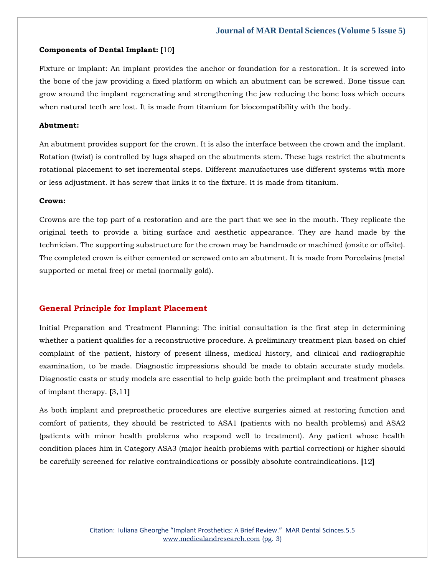#### **Components of Dental Implant: [**10**]**

Fixture or implant: An implant provides the anchor or foundation for a restoration. It is screwed into the bone of the jaw providing a fixed platform on which an abutment can be screwed. Bone tissue can grow around the implant regenerating and strengthening the jaw reducing the bone loss which occurs when natural teeth are lost. It is made from titanium for biocompatibility with the body.

#### **Abutment:**

An abutment provides support for the crown. It is also the interface between the crown and the implant. Rotation (twist) is controlled by lugs shaped on the abutments stem. These lugs restrict the abutments rotational placement to set incremental steps. Different manufactures use different systems with more or less adjustment. It has screw that links it to the fixture. It is made from titanium.

#### **Crown:**

Crowns are the top part of a restoration and are the part that we see in the mouth. They replicate the original teeth to provide a biting surface and aesthetic appearance. They are hand made by the technician. The supporting substructure for the crown may be handmade or machined (onsite or offsite). The completed crown is either cemented or screwed onto an abutment. It is made from Porcelains (metal supported or metal free) or metal (normally gold).

#### **General Principle for Implant Placement**

Initial Preparation and Treatment Planning: The initial consultation is the first step in determining whether a patient qualifies for a reconstructive procedure. A preliminary treatment plan based on chief complaint of the patient, history of present illness, medical history, and clinical and radiographic examination, to be made. Diagnostic impressions should be made to obtain accurate study models. Diagnostic casts or study models are essential to help guide both the preimplant and treatment phases of implant therapy. **[**3,11**]**

As both implant and preprosthetic procedures are elective surgeries aimed at restoring function and comfort of patients, they should be restricted to ASA1 (patients with no health problems) and ASA2 (patients with minor health problems who respond well to treatment). Any patient whose health condition places him in Category ASA3 (major health problems with partial correction) or higher should be carefully screened for relative contraindications or possibly absolute contraindications. **[**12**]**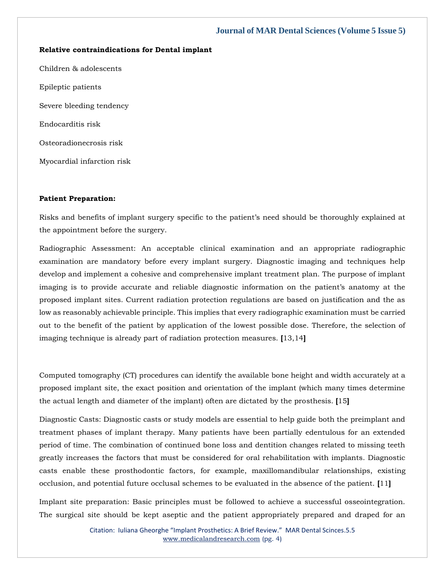#### **Relative contraindications for Dental implant**

Children & adolescents Epileptic patients Severe bleeding tendency Endocarditis risk Osteoradionecrosis risk Myocardial infarction risk

#### **Patient Preparation:**

Risks and benefits of implant surgery specific to the patient's need should be thoroughly explained at the appointment before the surgery.

Radiographic Assessment: An acceptable clinical examination and an appropriate radiographic examination are mandatory before every implant surgery. Diagnostic imaging and techniques help develop and implement a cohesive and comprehensive implant treatment plan. The purpose of implant imaging is to provide accurate and reliable diagnostic information on the patient's anatomy at the proposed implant sites. Current radiation protection regulations are based on justification and the as low as reasonably achievable principle. This implies that every radiographic examination must be carried out to the benefit of the patient by application of the lowest possible dose. Therefore, the selection of imaging technique is already part of radiation protection measures. **[**13,14**]**

Computed tomography (CT) procedures can identify the available bone height and width accurately at a proposed implant site, the exact position and orientation of the implant (which many times determine the actual length and diameter of the implant) often are dictated by the prosthesis. **[**15**]**

Diagnostic Casts: Diagnostic casts or study models are essential to help guide both the preimplant and treatment phases of implant therapy. Many patients have been partially edentulous for an extended period of time. The combination of continued bone loss and dentition changes related to missing teeth greatly increases the factors that must be considered for oral rehabilitation with implants. Diagnostic casts enable these prosthodontic factors, for example, maxillomandibular relationships, existing occlusion, and potential future occlusal schemes to be evaluated in the absence of the patient. **[**11**]**

Implant site preparation: Basic principles must be followed to achieve a successful osseointegration. The surgical site should be kept aseptic and the patient appropriately prepared and draped for an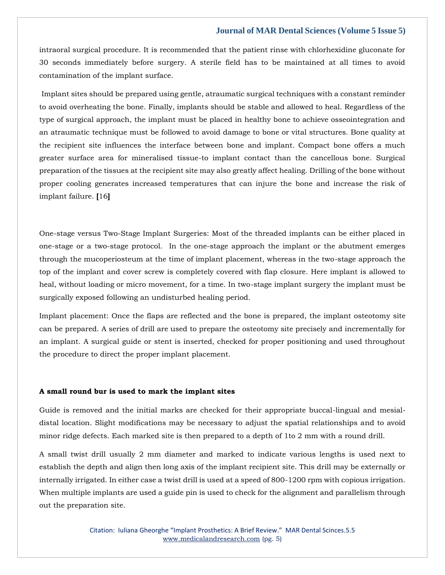intraoral surgical procedure. It is recommended that the patient rinse with chlorhexidine gluconate for 30 seconds immediately before surgery. A sterile field has to be maintained at all times to avoid contamination of the implant surface.

Implant sites should be prepared using gentle, atraumatic surgical techniques with a constant reminder to avoid overheating the bone. Finally, implants should be stable and allowed to heal. Regardless of the type of surgical approach, the implant must be placed in healthy bone to achieve osseointegration and an atraumatic technique must be followed to avoid damage to bone or vital structures. Bone quality at the recipient site influences the interface between bone and implant. Compact bone offers a much greater surface area for mineralised tissue-to implant contact than the cancellous bone. Surgical preparation of the tissues at the recipient site may also greatly affect healing. Drilling of the bone without proper cooling generates increased temperatures that can injure the bone and increase the risk of implant failure. **[**16**]**

One-stage versus Two-Stage Implant Surgeries: Most of the threaded implants can be either placed in one-stage or a two-stage protocol. In the one-stage approach the implant or the abutment emerges through the mucoperiosteum at the time of implant placement, whereas in the two-stage approach the top of the implant and cover screw is completely covered with flap closure. Here implant is allowed to heal, without loading or micro movement, for a time. In two-stage implant surgery the implant must be surgically exposed following an undisturbed healing period.

Implant placement: Once the flaps are reflected and the bone is prepared, the implant osteotomy site can be prepared. A series of drill are used to prepare the osteotomy site precisely and incrementally for an implant. A surgical guide or stent is inserted, checked for proper positioning and used throughout the procedure to direct the proper implant placement.

#### **A small round bur is used to mark the implant sites**

Guide is removed and the initial marks are checked for their appropriate buccal-lingual and mesialdistal location. Slight modifications may be necessary to adjust the spatial relationships and to avoid minor ridge defects. Each marked site is then prepared to a depth of 1to 2 mm with a round drill.

A small twist drill usually 2 mm diameter and marked to indicate various lengths is used next to establish the depth and align then long axis of the implant recipient site. This drill may be externally or internally irrigated. In either case a twist drill is used at a speed of 800-1200 rpm with copious irrigation. When multiple implants are used a guide pin is used to check for the alignment and parallelism through out the preparation site.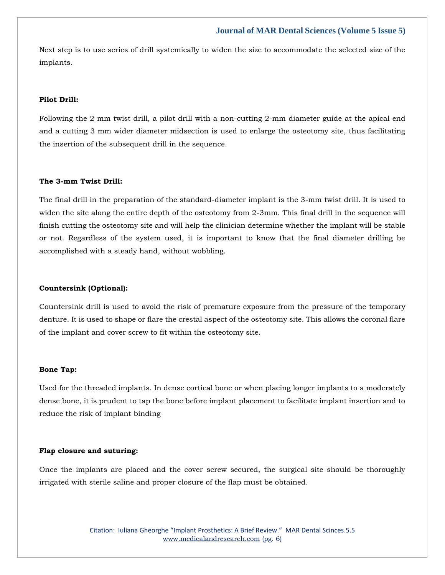Next step is to use series of drill systemically to widen the size to accommodate the selected size of the implants.

#### **Pilot Drill:**

Following the 2 mm twist drill, a pilot drill with a non-cutting 2-mm diameter guide at the apical end and a cutting 3 mm wider diameter midsection is used to enlarge the osteotomy site, thus facilitating the insertion of the subsequent drill in the sequence.

#### **The 3-mm Twist Drill:**

The final drill in the preparation of the standard-diameter implant is the 3-mm twist drill. It is used to widen the site along the entire depth of the osteotomy from 2-3mm. This final drill in the sequence will finish cutting the osteotomy site and will help the clinician determine whether the implant will be stable or not. Regardless of the system used, it is important to know that the final diameter drilling be accomplished with a steady hand, without wobbling.

#### **Countersink (Optional):**

Countersink drill is used to avoid the risk of premature exposure from the pressure of the temporary denture. It is used to shape or flare the crestal aspect of the osteotomy site. This allows the coronal flare of the implant and cover screw to fit within the osteotomy site.

#### **Bone Tap:**

Used for the threaded implants. In dense cortical bone or when placing longer implants to a moderately dense bone, it is prudent to tap the bone before implant placement to facilitate implant insertion and to reduce the risk of implant binding

#### **Flap closure and suturing:**

Once the implants are placed and the cover screw secured, the surgical site should be thoroughly irrigated with sterile saline and proper closure of the flap must be obtained.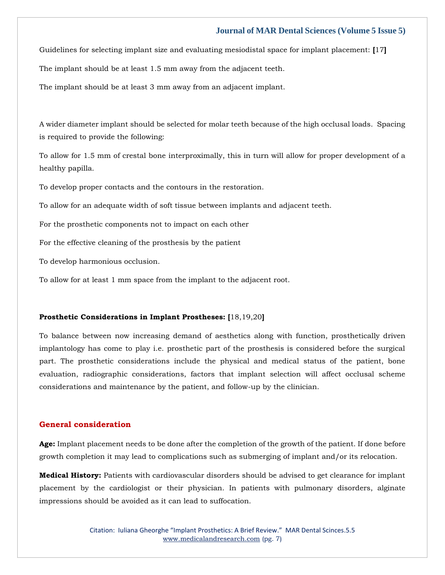Guidelines for selecting implant size and evaluating mesiodistal space for implant placement: **[**17**]**

The implant should be at least 1.5 mm away from the adjacent teeth.

The implant should be at least 3 mm away from an adjacent implant.

A wider diameter implant should be selected for molar teeth because of the high occlusal loads. Spacing is required to provide the following:

To allow for 1.5 mm of crestal bone interproximally, this in turn will allow for proper development of a healthy papilla.

To develop proper contacts and the contours in the restoration.

To allow for an adequate width of soft tissue between implants and adjacent teeth.

For the prosthetic components not to impact on each other

For the effective cleaning of the prosthesis by the patient

To develop harmonious occlusion.

To allow for at least 1 mm space from the implant to the adjacent root.

#### **Prosthetic Considerations in Implant Prostheses: [**18,19,20**]**

To balance between now increasing demand of aesthetics along with function, prosthetically driven implantology has come to play i.e. prosthetic part of the prosthesis is considered before the surgical part. The prosthetic considerations include the physical and medical status of the patient, bone evaluation, radiographic considerations, factors that implant selection will affect occlusal scheme considerations and maintenance by the patient, and follow-up by the clinician.

### **General consideration**

**Age:** Implant placement needs to be done after the completion of the growth of the patient. If done before growth completion it may lead to complications such as submerging of implant and/or its relocation.

**Medical History:** Patients with cardiovascular disorders should be advised to get clearance for implant placement by the cardiologist or their physician. In patients with pulmonary disorders, alginate impressions should be avoided as it can lead to suffocation.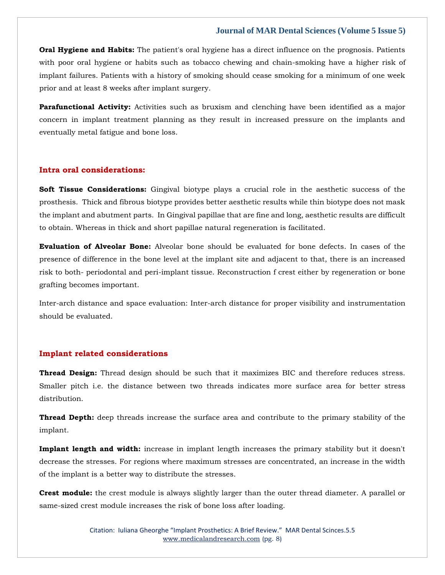**Oral Hygiene and Habits:** The patient's oral hygiene has a direct influence on the prognosis. Patients with poor oral hygiene or habits such as tobacco chewing and chain-smoking have a higher risk of implant failures. Patients with a history of smoking should cease smoking for a minimum of one week prior and at least 8 weeks after implant surgery.

**Parafunctional Activity:** Activities such as bruxism and clenching have been identified as a major concern in implant treatment planning as they result in increased pressure on the implants and eventually metal fatigue and bone loss.

#### **Intra oral considerations:**

**Soft Tissue Considerations:** Gingival biotype plays a crucial role in the aesthetic success of the prosthesis. Thick and fibrous biotype provides better aesthetic results while thin biotype does not mask the implant and abutment parts. In Gingival papillae that are fine and long, aesthetic results are difficult to obtain. Whereas in thick and short papillae natural regeneration is facilitated.

**Evaluation of Alveolar Bone:** Alveolar bone should be evaluated for bone defects. In cases of the presence of difference in the bone level at the implant site and adjacent to that, there is an increased risk to both- periodontal and peri-implant tissue. Reconstruction f crest either by regeneration or bone grafting becomes important.

Inter-arch distance and space evaluation: Inter-arch distance for proper visibility and instrumentation should be evaluated.

#### **Implant related considerations**

**Thread Design:** Thread design should be such that it maximizes BIC and therefore reduces stress. Smaller pitch i.e. the distance between two threads indicates more surface area for better stress distribution.

**Thread Depth:** deep threads increase the surface area and contribute to the primary stability of the implant.

**Implant length and width:** increase in implant length increases the primary stability but it doesn't decrease the stresses. For regions where maximum stresses are concentrated, an increase in the width of the implant is a better way to distribute the stresses.

**Crest module:** the crest module is always slightly larger than the outer thread diameter. A parallel or same-sized crest module increases the risk of bone loss after loading.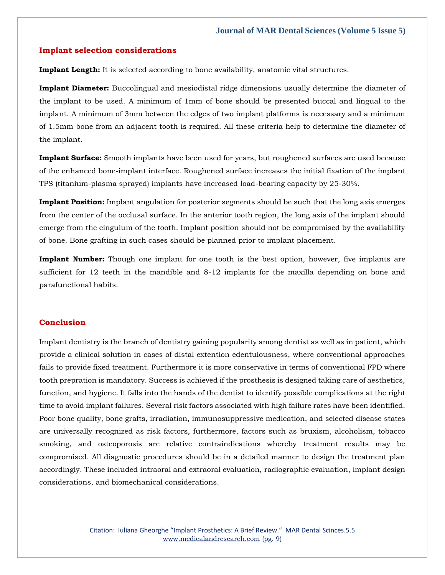#### **Implant selection considerations**

**Implant Length:** It is selected according to bone availability, anatomic vital structures.

**Implant Diameter:** Buccolingual and mesiodistal ridge dimensions usually determine the diameter of the implant to be used. A minimum of 1mm of bone should be presented buccal and lingual to the implant. A minimum of 3mm between the edges of two implant platforms is necessary and a minimum of 1.5mm bone from an adjacent tooth is required. All these criteria help to determine the diameter of the implant.

**Implant Surface:** Smooth implants have been used for years, but roughened surfaces are used because of the enhanced bone-implant interface. Roughened surface increases the initial fixation of the implant TPS (titanium-plasma sprayed) implants have increased load-bearing capacity by 25-30%.

**Implant Position:** Implant angulation for posterior segments should be such that the long axis emerges from the center of the occlusal surface. In the anterior tooth region, the long axis of the implant should emerge from the cingulum of the tooth. Implant position should not be compromised by the availability of bone. Bone grafting in such cases should be planned prior to implant placement.

**Implant Number:** Though one implant for one tooth is the best option, however, five implants are sufficient for 12 teeth in the mandible and 8-12 implants for the maxilla depending on bone and parafunctional habits.

#### **Conclusion**

Implant dentistry is the branch of dentistry gaining popularity among dentist as well as in patient, which provide a clinical solution in cases of distal extention edentulousness, where conventional approaches fails to provide fixed treatment. Furthermore it is more conservative in terms of conventional FPD where tooth prepration is mandatory. Success is achieved if the prosthesis is designed taking care of aesthetics, function, and hygiene. It falls into the hands of the dentist to identify possible complications at the right time to avoid implant failures. Several risk factors associated with high failure rates have been identified. Poor bone quality, bone grafts, irradiation, immunosuppressive medication, and selected disease states are universally recognized as risk factors, furthermore, factors such as bruxism, alcoholism, tobacco smoking, and osteoporosis are relative contraindications whereby treatment results may be compromised. All diagnostic procedures should be in a detailed manner to design the treatment plan accordingly. These included intraoral and extraoral evaluation, radiographic evaluation, implant design considerations, and biomechanical considerations.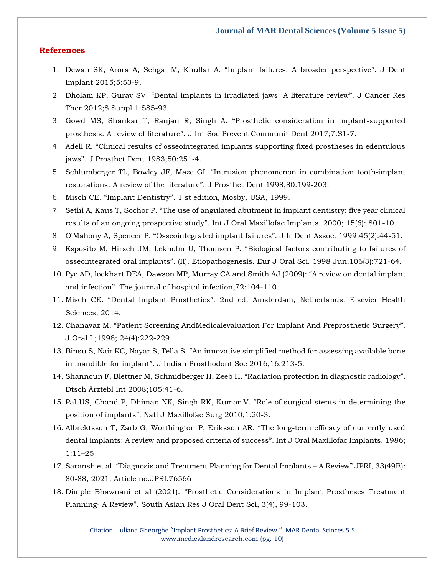#### **References**

- 1. [Dewan SK, Arora A, Sehgal M, Khullar A.](https://www.google.com/search?q=%E2%80%9CImplant+failures%3A+A+broader+perspective%E2%80%9D&rlz=1C1CHBF_enIN1000IN1000&oq=%E2%80%9CImplant+failures%3A+A+broader+perspective%E2%80%9D&aqs=chrome..69i57.864j0j15&sourceid=chrome&ie=UTF-8) "Implant failures: A broader perspective". J Dent [Implant 2015;5:53-9.](https://www.google.com/search?q=%E2%80%9CImplant+failures%3A+A+broader+perspective%E2%80%9D&rlz=1C1CHBF_enIN1000IN1000&oq=%E2%80%9CImplant+failures%3A+A+broader+perspective%E2%80%9D&aqs=chrome..69i57.864j0j15&sourceid=chrome&ie=UTF-8)
- 2. Dholam KP, Gurav SV. "[Dental implants in irradiated jaws: A literature review](https://www.google.com/search?q=%E2%80%9CDental+implants+in+irradiated+jaws%3A+A+literature+review%E2%80%9D&rlz=1C1CHBF_enIN1000IN1000&sxsrf=ALiCzsaT8x9hmK1G_3yW8_Yi-PFrP43bFw%3A1652766974837&ei=_jiDYofbMqigseMP_s-v8AY&ved=0ahUKEwiH0rnj7OX3AhUoUGwGHf7nC24Q4dUDCA4&uact=5&oq=%E2%80%9CDental+implants+in+irradiated+jaws%3A+A+literature+review%E2%80%9D&gs_lcp=Cgdnd3Mtd2l6EAMyBggAEBYQHkoECEEYAUoECEYYAFDpDVjpDWCiGmgGcAB4AIABY4gBY5IBATGYAQCgAQKgAQHAAQE&sclient=gws-wiz)". J Cancer Res [Ther 2012;8 Suppl 1:S85-93.](https://www.google.com/search?q=%E2%80%9CDental+implants+in+irradiated+jaws%3A+A+literature+review%E2%80%9D&rlz=1C1CHBF_enIN1000IN1000&sxsrf=ALiCzsaT8x9hmK1G_3yW8_Yi-PFrP43bFw%3A1652766974837&ei=_jiDYofbMqigseMP_s-v8AY&ved=0ahUKEwiH0rnj7OX3AhUoUGwGHf7nC24Q4dUDCA4&uact=5&oq=%E2%80%9CDental+implants+in+irradiated+jaws%3A+A+literature+review%E2%80%9D&gs_lcp=Cgdnd3Mtd2l6EAMyBggAEBYQHkoECEEYAUoECEYYAFDpDVjpDWCiGmgGcAB4AIABY4gBY5IBATGYAQCgAQKgAQHAAQE&sclient=gws-wiz)
- 3. Gowd MS, Shankar T, Ranjan R, Singh A. "[Prosthetic consideration in implant-supported](https://www.google.com/search?q=%E2%80%9CProsthetic+consideration+in+implant-supported+prosthesis%3A+A+review+of+literature%E2%80%9D.+&rlz=1C1CHBF_enIN1000IN1000&sxsrf=ALiCzsa63OwsFjS9x91y3fFcFdLo3c0g8w%3A1652766994000&ei=ETmDYqPNPPSMseMPhrqCwAQ&ved=0ahUKEwjjmcvs7OX3AhV0RmwGHQadAEgQ4dUDCA4&uact=5&oq=%E2%80%9CProsthetic+consideration+in+implant-supported+prosthesis%3A+A+review+of+literature%E2%80%9D.+&gs_lcp=Cgdnd3Mtd2l6EAMyBggAEBYQHjoHCCMQ6gIQJzoNCC4QxwEQowIQ6gIQJ0oECEEYAEoECEYYAFCnC1inC2DDFmgBcAB4AIABaYgBaZIBAzAuMZgBAKABAaABArABCsABAQ&sclient=gws-wiz)  prosthesis: A review of literature"[. J Int Soc Prevent Communit Dent 2017;7:S1-7.](https://www.google.com/search?q=%E2%80%9CProsthetic+consideration+in+implant-supported+prosthesis%3A+A+review+of+literature%E2%80%9D.+&rlz=1C1CHBF_enIN1000IN1000&sxsrf=ALiCzsa63OwsFjS9x91y3fFcFdLo3c0g8w%3A1652766994000&ei=ETmDYqPNPPSMseMPhrqCwAQ&ved=0ahUKEwjjmcvs7OX3AhV0RmwGHQadAEgQ4dUDCA4&uact=5&oq=%E2%80%9CProsthetic+consideration+in+implant-supported+prosthesis%3A+A+review+of+literature%E2%80%9D.+&gs_lcp=Cgdnd3Mtd2l6EAMyBggAEBYQHjoHCCMQ6gIQJzoNCC4QxwEQowIQ6gIQJ0oECEEYAEoECEYYAFCnC1inC2DDFmgBcAB4AIABaYgBaZIBAzAuMZgBAKABAaABArABCsABAQ&sclient=gws-wiz)
- 4. Adell R. "[Clinical results of osseointegrated implants supporting fixed prostheses in edentulous](https://www.google.com/search?q=%E2%80%9CClinical+results+of+osseointegrated+implants+supporting+fixed+prostheses+in+edentulous+jaws%E2%80%9D&rlz=1C1CHBF_enIN1000IN1000&sxsrf=ALiCzsbtqrKqjSxVcjQqNn4gu-mABiUR6A%3A1652767014027&ei=JjmDYpupAfOeseMP25qwsA0&ved=0ahUKEwib1JH27OX3AhVzT2wGHVsNDNYQ4dUDCA4&uact=5&oq=%E2%80%9CClinical+results+of+osseointegrated+implants+supporting+fixed+prostheses+in+edentulous+jaws%E2%80%9D&gs_lcp=Cgdnd3Mtd2l6EAM6BwgjEOoCECc6DQguEMcBEKMCEOoCECdKBAhBGABKBAhGGABQ5ANY5ANgtRBoAXABeACAAXuIAXuSAQMwLjGYAQCgAQGgAQKwAQrAAQE&sclient=gws-wiz)  jaws"[. J Prosthet Dent 1983;50:251](https://www.google.com/search?q=%E2%80%9CClinical+results+of+osseointegrated+implants+supporting+fixed+prostheses+in+edentulous+jaws%E2%80%9D&rlz=1C1CHBF_enIN1000IN1000&sxsrf=ALiCzsbtqrKqjSxVcjQqNn4gu-mABiUR6A%3A1652767014027&ei=JjmDYpupAfOeseMP25qwsA0&ved=0ahUKEwib1JH27OX3AhVzT2wGHVsNDNYQ4dUDCA4&uact=5&oq=%E2%80%9CClinical+results+of+osseointegrated+implants+supporting+fixed+prostheses+in+edentulous+jaws%E2%80%9D&gs_lcp=Cgdnd3Mtd2l6EAM6BwgjEOoCECc6DQguEMcBEKMCEOoCECdKBAhBGABKBAhGGABQ5ANY5ANgtRBoAXABeACAAXuIAXuSAQMwLjGYAQCgAQGgAQKwAQrAAQE&sclient=gws-wiz)‑4.
- 5. Schlumberger TL, Bowley JF, Maze GI. "[Intrusion phenomenon in combination tooth](https://www.google.com/search?q=%E2%80%9CIntrusion+phenomenon+in+combination+tooth%E2%80%91implant+restorations%3A+A+review+of+the+literature%E2%80%9D&rlz=1C1CHBF_enIN1000IN1000&sxsrf=ALiCzsb480T8seiSD4OmNaOuKawNrG--oA%3A1652767077420&ei=ZTmDYoCiGbihseMPkPqL-AQ&ved=0ahUKEwjA6K6U7eX3AhW4UGwGHRD9Ak8Q4dUDCA4&uact=5&oq=%E2%80%9CIntrusion+phenomenon+in+combination+tooth%E2%80%91implant+restorations%3A+A+review+of+the+literature%E2%80%9D&gs_lcp=Cgdnd3Mtd2l6EAM6BwgjEOoCECdKBAhBGABKBAhGGABQ7wpY7wpgxw1oAXAAeACAAZsBiAGbAZIBAzAuMZgBAKABAaABArABCsABAQ&sclient=gws-wiz)‑implant [restorations: A review of the literature](https://www.google.com/search?q=%E2%80%9CIntrusion+phenomenon+in+combination+tooth%E2%80%91implant+restorations%3A+A+review+of+the+literature%E2%80%9D&rlz=1C1CHBF_enIN1000IN1000&sxsrf=ALiCzsb480T8seiSD4OmNaOuKawNrG--oA%3A1652767077420&ei=ZTmDYoCiGbihseMPkPqL-AQ&ved=0ahUKEwjA6K6U7eX3AhW4UGwGHRD9Ak8Q4dUDCA4&uact=5&oq=%E2%80%9CIntrusion+phenomenon+in+combination+tooth%E2%80%91implant+restorations%3A+A+review+of+the+literature%E2%80%9D&gs_lcp=Cgdnd3Mtd2l6EAM6BwgjEOoCECdKBAhBGABKBAhGGABQ7wpY7wpgxw1oAXAAeACAAZsBiAGbAZIBAzAuMZgBAKABAaABArABCsABAQ&sclient=gws-wiz)". J Prosthet Dent 1998;80:199-203.
- 6. Misch CE. "Implant Dentistry"[. 1 st edition, Mosby, USA, 1999.](https://www.google.com/search?q=%E2%80%9CImplant+Dentistry%E2%80%9D&rlz=1C1CHBF_enIN1000IN1000&sxsrf=ALiCzsbWyyC3pZQRQwy4r7NBOS34arEAtg%3A1652767108646&ei=hDmDYuX-JqvLseMPmLmykAo&ved=0ahUKEwjl0KCj7eX3AhWrZWwGHZicDKIQ4dUDCA4&uact=5&oq=%E2%80%9CImplant+Dentistry%E2%80%9D&gs_lcp=Cgdnd3Mtd2l6EAMyBQgAEIAEMgUIABCABDIFCAAQgAQyBQgAEIAEMggIABCABBDJAzIFCAAQgAQyBQgAEIAEMgUIABCABDIFCAAQgAQyCggAEIAEEIcCEBQ6BwgjEOoCECc6BggAEBYQHjoJCAAQyQMQFhAeOgYIABAHEB5KBAhBGABKBAhGGABQygtYvzJg-T1oAXAAeACAAdwGiAGXDJIBBzEuNS42LTGYAQCgAQGgAQKwAQrAAQE&sclient=gws-wiz)
- 7. Sethi A, Kaus T, Sochor P. "[The use of angulated abutment in implant dentistry: five year clinical](https://www.google.com/search?q=%E2%80%9CThe+use+of+angulated+abutment+in+implant+dentistry%3A+five+year+clinical+results+of+an+ongoing+prospective+study%E2%80%9D&rlz=1C1CHBF_enIN1000IN1000&sxsrf=ALiCzsapSJXAiznXVZFuuI7oLE1IILPF_w%3A1652767164653&ei=vDmDYpC5J9CaseMPnsaQ6AM&ved=0ahUKEwiQh_u97eX3AhVQTWwGHR4jBD0Q4dUDCA4&uact=5&oq=%E2%80%9CThe+use+of+angulated+abutment+in+implant+dentistry%3A+five+year+clinical+results+of+an+ongoing+prospective+study%E2%80%9D&gs_lcp=Cgdnd3Mtd2l6EAMyBwgjEOoCECcyBwgjEOoCECcyBwgjEOoCECcyBwgjEOoCECcyBwgjEOoCECcyBwgjEOoCECcyBwgjEOoCECcyBwgjEOoCECcyBwgjEOoCECcyBwgjEOoCECdKBAhBGABKBAhGGABQthBYthBg9BdoAXABeACAAQCIAQCSAQCYAQCgAQGgAQKwAQrAAQE&sclient=gws-wiz)  results of an ongoing prospective study"[. Int J Oral Maxillofac Implants. 2000; 15\(6\): 801-10.](https://www.google.com/search?q=%E2%80%9CThe+use+of+angulated+abutment+in+implant+dentistry%3A+five+year+clinical+results+of+an+ongoing+prospective+study%E2%80%9D&rlz=1C1CHBF_enIN1000IN1000&sxsrf=ALiCzsapSJXAiznXVZFuuI7oLE1IILPF_w%3A1652767164653&ei=vDmDYpC5J9CaseMPnsaQ6AM&ved=0ahUKEwiQh_u97eX3AhVQTWwGHR4jBD0Q4dUDCA4&uact=5&oq=%E2%80%9CThe+use+of+angulated+abutment+in+implant+dentistry%3A+five+year+clinical+results+of+an+ongoing+prospective+study%E2%80%9D&gs_lcp=Cgdnd3Mtd2l6EAMyBwgjEOoCECcyBwgjEOoCECcyBwgjEOoCECcyBwgjEOoCECcyBwgjEOoCECcyBwgjEOoCECcyBwgjEOoCECcyBwgjEOoCECcyBwgjEOoCECcyBwgjEOoCECdKBAhBGABKBAhGGABQthBYthBg9BdoAXABeACAAQCIAQCSAQCYAQCgAQGgAQKwAQrAAQE&sclient=gws-wiz)
- 8. O'Mahony A, Spencer P. "Osseointegrated implant failures"[. J Ir Dent Assoc. 1999;45\(2\):44-51.](https://www.google.com/search?q=%E2%80%9COsseointegrated+implant+failures%E2%80%9D&rlz=1C1CHBF_enIN1000IN1000&sxsrf=ALiCzsaQmRZWoCr6qSdpJQY0w0JZYyk2Ag%3A1652767190321&ei=1jmDYt6VE-2hseMPgeyHiA8&ved=0ahUKEwje2JnK7eX3AhXtUGwGHQH2AfEQ4dUDCA4&uact=5&oq=%E2%80%9COsseointegrated+implant+failures%E2%80%9D&gs_lcp=Cgdnd3Mtd2l6EAMyCAgAEAgQDRAeOgcIIxDqAhAnSgQIQRgASgQIRhgAUPQKWPQKYJQWaAFwAHgAgAGRAYgBkQGSAQMwLjGYAQCgAQGgAQKwAQrAAQE&sclient=gws-wiz)
- 9. [Esposito M, Hirsch JM, Lekholm U, Thomsen P.](https://www.google.com/search?q=%E2%80%9CBiological+factors+contributing+to+failures+of+osseointegrated+oral+implants%E2%80%9D%5C&rlz=1C1CHBF_enIN1000IN1000&sxsrf=ALiCzsaPLaJdVVQOUsI529BGtAr4jylXuA%3A1652767218628&ei=8jmDYomDJtWcseMP9KyBqAM&ved=0ahUKEwiJxNnX7eX3AhVVTmwGHXRWADUQ4dUDCA4&uact=5&oq=%E2%80%9CBiological+factors+contributing+to+failures+of+osseointegrated+oral+implants%E2%80%9D%5C&gs_lcp=Cgdnd3Mtd2l6EAMyBwgjEOoCECcyBwgjEOoCECcyBwgjEOoCECcyBwgjEOoCECcyBwgjEOoCECcyBwgjEOoCECcyBwgjEOoCECcyBwgjEOoCECcyBwgjEOoCECcyBwgjEOoCECdKBAhBGABKBAhGGABQyAxY2Qxg5AxoAXAAeACAAQCIAQCSAQCYAQCgAQGgAQKwAQrAAQE&sclient=gws-wiz) "Biological factors contributing to failures of osseointegrated oral implants"[. \(II\). Etiopathogenesis. Eur J Oral Sci. 1998 Jun;106\(3\):721-64.](https://www.google.com/search?q=%E2%80%9CBiological+factors+contributing+to+failures+of+osseointegrated+oral+implants%E2%80%9D%5C&rlz=1C1CHBF_enIN1000IN1000&sxsrf=ALiCzsaPLaJdVVQOUsI529BGtAr4jylXuA%3A1652767218628&ei=8jmDYomDJtWcseMP9KyBqAM&ved=0ahUKEwiJxNnX7eX3AhVVTmwGHXRWADUQ4dUDCA4&uact=5&oq=%E2%80%9CBiological+factors+contributing+to+failures+of+osseointegrated+oral+implants%E2%80%9D%5C&gs_lcp=Cgdnd3Mtd2l6EAMyBwgjEOoCECcyBwgjEOoCECcyBwgjEOoCECcyBwgjEOoCECcyBwgjEOoCECcyBwgjEOoCECcyBwgjEOoCECcyBwgjEOoCECcyBwgjEOoCECcyBwgjEOoCECdKBAhBGABKBAhGGABQyAxY2Qxg5AxoAXAAeACAAQCIAQCSAQCYAQCgAQGgAQKwAQrAAQE&sclient=gws-wiz)
- 10. [Pye AD, lockhart DEA, Dawson MP, Murray CA and Smith AJ \(2009\):](https://www.google.com/search?q=%E2%80%9CA+review+on+dental+implant+and+infection%E2%80%9D.&rlz=1C1CHBF_enIN1000IN1000&sxsrf=ALiCzsaPZ54T3NDHltd3O41nPoBp0_Zv2Q%3A1652767240377&ei=CDqDYtjYFrigseMPjISJgAo&ved=0ahUKEwjY_Iji7eX3AhU4UGwGHQxCAqAQ4dUDCA4&uact=5&oq=%E2%80%9CA+review+on+dental+implant+and+infection%E2%80%9D.&gs_lcp=Cgdnd3Mtd2l6EAMyBwgjEOoCECcyBwgjEOoCECcyBwgjEOoCECcyBwgjEOoCECcyBwgjEOoCECcyBwgjEOoCECcyBwgjEOoCECcyBwgjEOoCECcyBwgjEOoCECcyBwgjEOoCECdKBAhBGABKBAhGGABQlQxYlQxggg1oAXABeACAAQCIAQCSAQCYAQCgAQGgAQKwAQrAAQE&sclient=gws-wiz) "A review on dental implant and infection". [The journal of hospital infection,72:104-110.](https://www.google.com/search?q=%E2%80%9CA+review+on+dental+implant+and+infection%E2%80%9D.&rlz=1C1CHBF_enIN1000IN1000&sxsrf=ALiCzsaPZ54T3NDHltd3O41nPoBp0_Zv2Q%3A1652767240377&ei=CDqDYtjYFrigseMPjISJgAo&ved=0ahUKEwjY_Iji7eX3AhU4UGwGHQxCAqAQ4dUDCA4&uact=5&oq=%E2%80%9CA+review+on+dental+implant+and+infection%E2%80%9D.&gs_lcp=Cgdnd3Mtd2l6EAMyBwgjEOoCECcyBwgjEOoCECcyBwgjEOoCECcyBwgjEOoCECcyBwgjEOoCECcyBwgjEOoCECcyBwgjEOoCECcyBwgjEOoCECcyBwgjEOoCECcyBwgjEOoCECdKBAhBGABKBAhGGABQlQxYlQxggg1oAXABeACAAQCIAQCSAQCYAQCgAQGgAQKwAQrAAQE&sclient=gws-wiz)
- 11. Misch CE. "Dental Implant Prosthetics"[. 2nd ed. Amsterdam, Netherlands: Elsevier Health](https://www.google.com/search?q=%E2%80%9CDental+Implant+Prosthetics%E2%80%9D&rlz=1C1CHBF_enIN1000IN1000&sxsrf=ALiCzsY1GWSvmUldmLjN58mCiaGt-GUB6Q%3A1652767267984&ei=IzqDYrvOO82MseMP2PiuqAY&ved=0ahUKEwj7653v7eX3AhVNRmwGHVi8C2UQ4dUDCA4&uact=5&oq=%E2%80%9CDental+Implant+Prosthetics%E2%80%9D&gs_lcp=Cgdnd3Mtd2l6EAMyBQgAEIAEMgUIABCABDIFCAAQgAQyBQgAEIAEMgUILhCABDIGCAAQFhAeMgYIABAWEB4yBggAEBYQHjIGCAAQFhAeMgYIABAWEB46BwgjEOoCECdKBAhBGABKBAhGGABQ6gJY6gJg1A1oAXAAeACAAWqIAWqSAQMwLjGYAQCgAQGgAQKwAQrAAQE&sclient=gws-wiz)  [Sciences; 2014.](https://www.google.com/search?q=%E2%80%9CDental+Implant+Prosthetics%E2%80%9D&rlz=1C1CHBF_enIN1000IN1000&sxsrf=ALiCzsY1GWSvmUldmLjN58mCiaGt-GUB6Q%3A1652767267984&ei=IzqDYrvOO82MseMP2PiuqAY&ved=0ahUKEwj7653v7eX3AhVNRmwGHVi8C2UQ4dUDCA4&uact=5&oq=%E2%80%9CDental+Implant+Prosthetics%E2%80%9D&gs_lcp=Cgdnd3Mtd2l6EAMyBQgAEIAEMgUIABCABDIFCAAQgAQyBQgAEIAEMgUILhCABDIGCAAQFhAeMgYIABAWEB4yBggAEBYQHjIGCAAQFhAeMgYIABAWEB46BwgjEOoCECdKBAhBGABKBAhGGABQ6gJY6gJg1A1oAXAAeACAAWqIAWqSAQMwLjGYAQCgAQGgAQKwAQrAAQE&sclient=gws-wiz)
- 12. Chanavaz M. "[Patient Screening AndMedicalevaluation For Implant And Preprosthetic Surgery](https://www.google.com/search?q=%E2%80%9CPatient+Screening+AndMedicalevaluation+For+Implant+And+Preprosthetic+Surgery%E2%80%9D&rlz=1C1CHBF_enIN1000IN1000&sxsrf=ALiCzsZSgTaGmfzhsaio7rSf9YqjXJCUCA%3A1652767321538&ei=WTqDYpnAIKuKseMPwam5iAY&ved=0ahUKEwjZ0OKI7uX3AhUrRWwGHcFUDmEQ4dUDCA4&uact=5&oq=%E2%80%9CPatient+Screening+AndMedicalevaluation+For+Implant+And+Preprosthetic+Surgery%E2%80%9D&gs_lcp=Cgdnd3Mtd2l6EAM6BwgjEOoCECdKBAhBGABKBAhGGABQjw9Yjw9g2R5oAXABeACAAa0BiAGtAZIBAzAuMZgBAKABAaABArABCsABAQ&sclient=gws-wiz)". [J Oral I ;1998; 24\(4\):222-229](https://www.google.com/search?q=%E2%80%9CPatient+Screening+AndMedicalevaluation+For+Implant+And+Preprosthetic+Surgery%E2%80%9D&rlz=1C1CHBF_enIN1000IN1000&sxsrf=ALiCzsZSgTaGmfzhsaio7rSf9YqjXJCUCA%3A1652767321538&ei=WTqDYpnAIKuKseMPwam5iAY&ved=0ahUKEwjZ0OKI7uX3AhUrRWwGHcFUDmEQ4dUDCA4&uact=5&oq=%E2%80%9CPatient+Screening+AndMedicalevaluation+For+Implant+And+Preprosthetic+Surgery%E2%80%9D&gs_lcp=Cgdnd3Mtd2l6EAM6BwgjEOoCECdKBAhBGABKBAhGGABQjw9Yjw9g2R5oAXABeACAAa0BiAGtAZIBAzAuMZgBAKABAaABArABCsABAQ&sclient=gws-wiz)
- 13. Binsu S, Nair KC, Nayar S, Tella S. "[An innovative simplified method for assessing available bone](https://www.google.com/search?q=%E2%80%9CAn+innovative+simplified+method+for+assessing+available+bone+in+mandible+for+implant%E2%80%9D&rlz=1C1CHBF_enIN1000IN1000&sxsrf=ALiCzsZvBsl71GTyuOYX85ivE7YH1eXQnA%3A1652767349686&ei=dTqDYq3DKYifseMPzqe5gAg&ved=0ahUKEwjt0ZiW7uX3AhWIT2wGHc5TDoAQ4dUDCA4&uact=5&oq=%E2%80%9CAn+innovative+simplified+method+for+assessing+available+bone+in+mandible+for+implant%E2%80%9D&gs_lcp=Cgdnd3Mtd2l6EAM6BwgjEOoCECdKBAhBGABKBAhGGABQngtYngtgpBZoAXAAeACAAXSIAXSSAQMwLjGYAQCgAQGgAQKwAQrAAQE&sclient=gws-wiz)  in mandible for implant"[. J Indian Prosthodont Soc 2016;16:213-5.](https://www.google.com/search?q=%E2%80%9CAn+innovative+simplified+method+for+assessing+available+bone+in+mandible+for+implant%E2%80%9D&rlz=1C1CHBF_enIN1000IN1000&sxsrf=ALiCzsZvBsl71GTyuOYX85ivE7YH1eXQnA%3A1652767349686&ei=dTqDYq3DKYifseMPzqe5gAg&ved=0ahUKEwjt0ZiW7uX3AhWIT2wGHc5TDoAQ4dUDCA4&uact=5&oq=%E2%80%9CAn+innovative+simplified+method+for+assessing+available+bone+in+mandible+for+implant%E2%80%9D&gs_lcp=Cgdnd3Mtd2l6EAM6BwgjEOoCECdKBAhBGABKBAhGGABQngtYngtgpBZoAXAAeACAAXSIAXSSAQMwLjGYAQCgAQGgAQKwAQrAAQE&sclient=gws-wiz)
- 14. [Shannoun F, Blettner M, Schmidberger H, Zeeb H.](https://www.google.com/search?q=%E2%80%9CRadiation+protection+in+diagnostic+radiology%E2%80%9D.&rlz=1C1CHBF_enIN1000IN1000&sxsrf=ALiCzsaGwZQ73VU-UWzT-hM71TS77p_2bQ%3A1652767381255&ei=lTqDYrGhD4mQseMPrt-vUA&ved=0ahUKEwjxv5-l7uX3AhUJSGwGHa7vCwoQ4dUDCA4&uact=5&oq=%E2%80%9CRadiation+protection+in+diagnostic+radiology%E2%80%9D.&gs_lcp=Cgdnd3Mtd2l6EAMyBggAEBYQHjIGCAAQFhAeMgYIABAWEB4yBggAEBYQHjIGCAAQFhAeMgYIABAWEB4yBggAEBYQHjIGCAAQFhAeMgYIABAWEB46BwgjEOoCECdKBAhBGABKBAhGGABQuBJYuBJgjh5oAXAAeACAAXuIAXuSAQMwLjGYAQCgAQGgAQKwAQrAAQE&sclient=gws-wiz) "Radiation protection in diagnostic radiology". [Dtsch Ärztebl Int 2008;105:41-6.](https://www.google.com/search?q=%E2%80%9CRadiation+protection+in+diagnostic+radiology%E2%80%9D.&rlz=1C1CHBF_enIN1000IN1000&sxsrf=ALiCzsaGwZQ73VU-UWzT-hM71TS77p_2bQ%3A1652767381255&ei=lTqDYrGhD4mQseMPrt-vUA&ved=0ahUKEwjxv5-l7uX3AhUJSGwGHa7vCwoQ4dUDCA4&uact=5&oq=%E2%80%9CRadiation+protection+in+diagnostic+radiology%E2%80%9D.&gs_lcp=Cgdnd3Mtd2l6EAMyBggAEBYQHjIGCAAQFhAeMgYIABAWEB4yBggAEBYQHjIGCAAQFhAeMgYIABAWEB4yBggAEBYQHjIGCAAQFhAeMgYIABAWEB46BwgjEOoCECdKBAhBGABKBAhGGABQuBJYuBJgjh5oAXAAeACAAXuIAXuSAQMwLjGYAQCgAQGgAQKwAQrAAQE&sclient=gws-wiz)
- 15. [Pal US, Chand P, Dhiman NK, Singh RK, Kumar V.](https://www.google.com/search?q=%E2%80%9CRole+of+surgical+stents+in+determining+the+position+of+implants%E2%80%9D&rlz=1C1CHBF_enIN1000IN1000&sxsrf=ALiCzsbpNgqhMhmYsIk1XMtkNsBEfhhWXQ%3A1652767408167&ei=sDqDYvXgCbCKseMPsp-DyAQ&ved=0ahUKEwj1-Imy7uX3AhUwRWwGHbLPAEkQ4dUDCA4&uact=5&oq=%E2%80%9CRole+of+surgical+stents+in+determining+the+position+of+implants%E2%80%9D&gs_lcp=Cgdnd3Mtd2l6EAM6BwgjEOoCECdKBAhBGABKBAhGGABQnQxYnQxg4BhoAXABeACAAW2IAW2SAQMwLjGYAQCgAQGgAQKwAQrAAQE&sclient=gws-wiz) "Role of surgical stents in determining the position of implants"[. Natl J Maxillofac Surg 2010;1:20-3.](https://www.google.com/search?q=%E2%80%9CRole+of+surgical+stents+in+determining+the+position+of+implants%E2%80%9D&rlz=1C1CHBF_enIN1000IN1000&sxsrf=ALiCzsbpNgqhMhmYsIk1XMtkNsBEfhhWXQ%3A1652767408167&ei=sDqDYvXgCbCKseMPsp-DyAQ&ved=0ahUKEwj1-Imy7uX3AhUwRWwGHbLPAEkQ4dUDCA4&uact=5&oq=%E2%80%9CRole+of+surgical+stents+in+determining+the+position+of+implants%E2%80%9D&gs_lcp=Cgdnd3Mtd2l6EAM6BwgjEOoCECdKBAhBGABKBAhGGABQnQxYnQxg4BhoAXABeACAAW2IAW2SAQMwLjGYAQCgAQGgAQKwAQrAAQE&sclient=gws-wiz)
- 16. [Albrektsson T, Zarb G, Worthington P, Eriksson AR.](https://www.google.com/search?q=%E2%80%9CThe+long-term+efficacy+of+currently+used+dental+implants%3A+A+review+and+proposed+criteria+of+success%E2%80%9D.&rlz=1C1CHBF_enIN1000IN1000&sxsrf=ALiCzsblwupif4AGj9Vp1NkNTSGyca2s_A%3A1652767432754&ei=yDqDYuHaLY6dseMPid224Aw&ved=0ahUKEwjh3ua97uX3AhWOTmwGHYmuDcwQ4dUDCA4&uact=5&oq=%E2%80%9CThe+long-term+efficacy+of+currently+used+dental+implants%3A+A+review+and+proposed+criteria+of+success%E2%80%9D.&gs_lcp=Cgdnd3Mtd2l6EAMyBwgjEOoCECcyBwgjEOoCECcyBwgjEOoCECcyBwgjEOoCECcyBwgjEOoCECcyBwgjEOoCECcyBwgjEOoCECcyBwgjEOoCECcyBwgjEOoCECcyBwgjEOoCECdKBAhBGABKBAhGGABQyAxYyAxglQ9oAXABeACAAQCIAQCSAQCYAQCgAQGgAQKwAQrAAQE&sclient=gws-wiz) "The long-term efficacy of currently used [dental implants: A review and proposed criteria of success](https://www.google.com/search?q=%E2%80%9CThe+long-term+efficacy+of+currently+used+dental+implants%3A+A+review+and+proposed+criteria+of+success%E2%80%9D.&rlz=1C1CHBF_enIN1000IN1000&sxsrf=ALiCzsblwupif4AGj9Vp1NkNTSGyca2s_A%3A1652767432754&ei=yDqDYuHaLY6dseMPid224Aw&ved=0ahUKEwjh3ua97uX3AhWOTmwGHYmuDcwQ4dUDCA4&uact=5&oq=%E2%80%9CThe+long-term+efficacy+of+currently+used+dental+implants%3A+A+review+and+proposed+criteria+of+success%E2%80%9D.&gs_lcp=Cgdnd3Mtd2l6EAMyBwgjEOoCECcyBwgjEOoCECcyBwgjEOoCECcyBwgjEOoCECcyBwgjEOoCECcyBwgjEOoCECcyBwgjEOoCECcyBwgjEOoCECcyBwgjEOoCECcyBwgjEOoCECdKBAhBGABKBAhGGABQyAxYyAxglQ9oAXABeACAAQCIAQCSAQCYAQCgAQGgAQKwAQrAAQE&sclient=gws-wiz)". Int J Oral Maxillofac Implants. 1986; [1:11](https://www.google.com/search?q=%E2%80%9CThe+long-term+efficacy+of+currently+used+dental+implants%3A+A+review+and+proposed+criteria+of+success%E2%80%9D.&rlz=1C1CHBF_enIN1000IN1000&sxsrf=ALiCzsblwupif4AGj9Vp1NkNTSGyca2s_A%3A1652767432754&ei=yDqDYuHaLY6dseMPid224Aw&ved=0ahUKEwjh3ua97uX3AhWOTmwGHYmuDcwQ4dUDCA4&uact=5&oq=%E2%80%9CThe+long-term+efficacy+of+currently+used+dental+implants%3A+A+review+and+proposed+criteria+of+success%E2%80%9D.&gs_lcp=Cgdnd3Mtd2l6EAMyBwgjEOoCECcyBwgjEOoCECcyBwgjEOoCECcyBwgjEOoCECcyBwgjEOoCECcyBwgjEOoCECcyBwgjEOoCECcyBwgjEOoCECcyBwgjEOoCECcyBwgjEOoCECdKBAhBGABKBAhGGABQyAxYyAxglQ9oAXABeACAAQCIAQCSAQCYAQCgAQGgAQKwAQrAAQE&sclient=gws-wiz)–25
- 17. Saransh et al. "[Diagnosis and Treatment Planning for Dental Implants](https://www.google.com/search?q=%E2%80%9CDiagnosis+and+Treatment+Planning+for+Dental+Implants+%E2%80%93+A+Review%E2%80%9D&rlz=1C1CHBF_enIN1000IN1000&sxsrf=ALiCzsabNX1qQDSuqKzSgkfQnmZHI2ixQQ%3A1652767457265&ei=4TqDYsnfD-CNseMP2aye4Ac&ved=0ahUKEwiJ1L7J7uX3AhXgRmwGHVmWB3wQ4dUDCA4&uact=5&oq=%E2%80%9CDiagnosis+and+Treatment+Planning+for+Dental+Implants+%E2%80%93+A+Review%E2%80%9D&gs_lcp=Cgdnd3Mtd2l6EAM6BwgjEOoCECdKBAhBGABKBAhGGABQvQxYvQxgmQ5oAXABeACAAW-IAW-SAQMwLjGYAQCgAQGgAQKwAQrAAQE&sclient=gws-wiz)  A Review" JPRI, 33(49B): [80-88, 2021; Article no.JPRI.76566](https://www.google.com/search?q=%E2%80%9CDiagnosis+and+Treatment+Planning+for+Dental+Implants+%E2%80%93+A+Review%E2%80%9D&rlz=1C1CHBF_enIN1000IN1000&sxsrf=ALiCzsabNX1qQDSuqKzSgkfQnmZHI2ixQQ%3A1652767457265&ei=4TqDYsnfD-CNseMP2aye4Ac&ved=0ahUKEwiJ1L7J7uX3AhXgRmwGHVmWB3wQ4dUDCA4&uact=5&oq=%E2%80%9CDiagnosis+and+Treatment+Planning+for+Dental+Implants+%E2%80%93+A+Review%E2%80%9D&gs_lcp=Cgdnd3Mtd2l6EAM6BwgjEOoCECdKBAhBGABKBAhGGABQvQxYvQxgmQ5oAXABeACAAW-IAW-SAQMwLjGYAQCgAQGgAQKwAQrAAQE&sclient=gws-wiz)
- 18. Dimple Bhawnani et al (2021). "[Prosthetic Considerations in Implant Prostheses Treatment](https://www.google.com/search?q=%E2%80%9CProsthetic+Considerations+in+Implant+Prostheses+Treatment+Planning-+A+Review%E2%80%9D.&rlz=1C1CHBF_enIN1000IN1000&sxsrf=ALiCzsboDo4RiYc0tUMEUgKmCDFDNCQgZA%3A1652767479955&ei=9zqDYvvaOdaNseMPheuauAo&ved=0ahUKEwi7sqfU7uX3AhXWRmwGHYW1BqcQ4dUDCA4&uact=5&oq=%E2%80%9CProsthetic+Considerations+in+Implant+Prostheses+Treatment+Planning-+A+Review%E2%80%9D.&gs_lcp=Cgdnd3Mtd2l6EAM6BwgjEOoCECdKBAhBGABKBAhGGABQtApYwyhg4iloAnAAeACAAXOIAbsCkgEDMS4ymAEAoAEBoAECsAEKwAEB&sclient=gws-wiz)  Planning- A Review"[. South Asian Res J Oral Dent Sci, 3\(4\), 99-103.](https://www.google.com/search?q=%E2%80%9CProsthetic+Considerations+in+Implant+Prostheses+Treatment+Planning-+A+Review%E2%80%9D.&rlz=1C1CHBF_enIN1000IN1000&sxsrf=ALiCzsboDo4RiYc0tUMEUgKmCDFDNCQgZA%3A1652767479955&ei=9zqDYvvaOdaNseMPheuauAo&ved=0ahUKEwi7sqfU7uX3AhXWRmwGHYW1BqcQ4dUDCA4&uact=5&oq=%E2%80%9CProsthetic+Considerations+in+Implant+Prostheses+Treatment+Planning-+A+Review%E2%80%9D.&gs_lcp=Cgdnd3Mtd2l6EAM6BwgjEOoCECdKBAhBGABKBAhGGABQtApYwyhg4iloAnAAeACAAXOIAbsCkgEDMS4ymAEAoAEBoAECsAEKwAEB&sclient=gws-wiz)